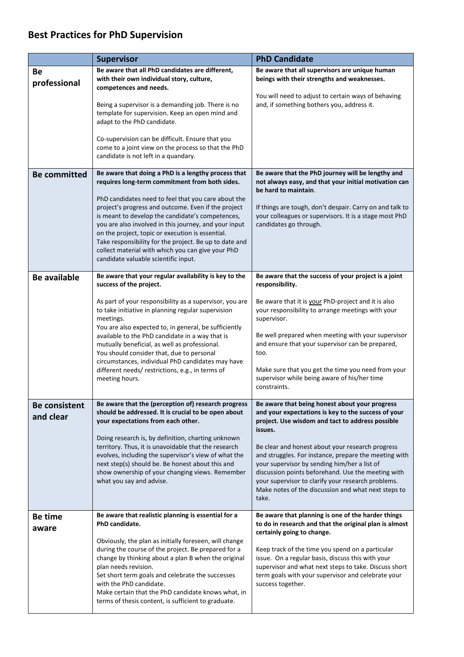## **Best Practices for PhD Supervision**

|                                   | <b>Supervisor</b>                                                                                                                                                                                                                                                                                                                                                                                                                                              | <b>PhD Candidate</b>                                                                                                                                                                                                                                                                                                                                                                                                                                                                                          |
|-----------------------------------|----------------------------------------------------------------------------------------------------------------------------------------------------------------------------------------------------------------------------------------------------------------------------------------------------------------------------------------------------------------------------------------------------------------------------------------------------------------|---------------------------------------------------------------------------------------------------------------------------------------------------------------------------------------------------------------------------------------------------------------------------------------------------------------------------------------------------------------------------------------------------------------------------------------------------------------------------------------------------------------|
| Вe<br>professional                | Be aware that all PhD candidates are different,<br>with their own individual story, culture,<br>competences and needs.                                                                                                                                                                                                                                                                                                                                         | Be aware that all supervisors are unique human<br>beings with their strengths and weaknesses.                                                                                                                                                                                                                                                                                                                                                                                                                 |
|                                   | Being a supervisor is a demanding job. There is no<br>template for supervision. Keep an open mind and<br>adapt to the PhD candidate.                                                                                                                                                                                                                                                                                                                           | You will need to adjust to certain ways of behaving<br>and, if something bothers you, address it.                                                                                                                                                                                                                                                                                                                                                                                                             |
|                                   | Co-supervision can be difficult. Ensure that you<br>come to a joint view on the process so that the PhD<br>candidate is not left in a quandary.                                                                                                                                                                                                                                                                                                                |                                                                                                                                                                                                                                                                                                                                                                                                                                                                                                               |
| <b>Be committed</b>               | Be aware that doing a PhD is a lengthy process that<br>requires long-term commitment from both sides.                                                                                                                                                                                                                                                                                                                                                          | Be aware that the PhD journey will be lengthy and<br>not always easy, and that your initial motivation can<br>be hard to maintain.                                                                                                                                                                                                                                                                                                                                                                            |
|                                   | PhD candidates need to feel that you care about the<br>project's progress and outcome. Even if the project<br>is meant to develop the candidate's competences,<br>you are also involved in this journey, and your input<br>on the project, topic or execution is essential.<br>Take responsibility for the project. Be up to date and<br>collect material with which you can give your PhD<br>candidate valuable scientific input.                             | If things are tough, don't despair. Carry on and talk to<br>your colleagues or supervisors. It is a stage most PhD<br>candidates go through.                                                                                                                                                                                                                                                                                                                                                                  |
| <b>Be available</b>               | Be aware that your regular availability is key to the<br>success of the project.                                                                                                                                                                                                                                                                                                                                                                               | Be aware that the success of your project is a joint<br>responsibility.                                                                                                                                                                                                                                                                                                                                                                                                                                       |
|                                   | As part of your responsibility as a supervisor, you are<br>to take initiative in planning regular supervision<br>meetings.<br>You are also expected to, in general, be sufficiently<br>available to the PhD candidate in a way that is<br>mutually beneficial, as well as professional.<br>You should consider that, due to personal<br>circumstances, individual PhD candidates may have<br>different needs/restrictions, e.g., in terms of<br>meeting hours. | Be aware that it is your PhD-project and it is also<br>your responsibility to arrange meetings with your<br>supervisor.<br>Be well prepared when meeting with your supervisor<br>and ensure that your supervisor can be prepared,<br>too.<br>Make sure that you get the time you need from your<br>supervisor while being aware of his/her time<br>constraints.                                                                                                                                               |
| <b>Be consistent</b><br>and clear | Be aware that the (perception of) research progress<br>should be addressed. It is crucial to be open about<br>your expectations from each other.<br>Doing research is, by definition, charting unknown<br>territory. Thus, it is unavoidable that the research<br>evolves, including the supervisor's view of what the<br>next step(s) should be. Be honest about this and<br>show ownership of your changing views. Remember<br>what you say and advise.      | Be aware that being honest about your progress<br>and your expectations is key to the success of your<br>project. Use wisdom and tact to address possible<br>issues.<br>Be clear and honest about your research progress<br>and struggles. For instance, prepare the meeting with<br>your supervisor by sending him/her a list of<br>discussion points beforehand. Use the meeting with<br>your supervisor to clarify your research problems.<br>Make notes of the discussion and what next steps to<br>take. |
| Be time                           | Be aware that realistic planning is essential for a                                                                                                                                                                                                                                                                                                                                                                                                            | Be aware that planning is one of the harder things                                                                                                                                                                                                                                                                                                                                                                                                                                                            |
| aware                             | PhD candidate.<br>Obviously, the plan as initially foreseen, will change<br>during the course of the project. Be prepared for a<br>change by thinking about a plan B when the original<br>plan needs revision.<br>Set short term goals and celebrate the successes<br>with the PhD candidate.<br>Make certain that the PhD candidate knows what, in<br>terms of thesis content, is sufficient to graduate.                                                     | to do in research and that the original plan is almost<br>certainly going to change.<br>Keep track of the time you spend on a particular<br>issue. On a regular basis, discuss this with your<br>supervisor and what next steps to take. Discuss short<br>term goals with your supervisor and celebrate your<br>success together.                                                                                                                                                                             |